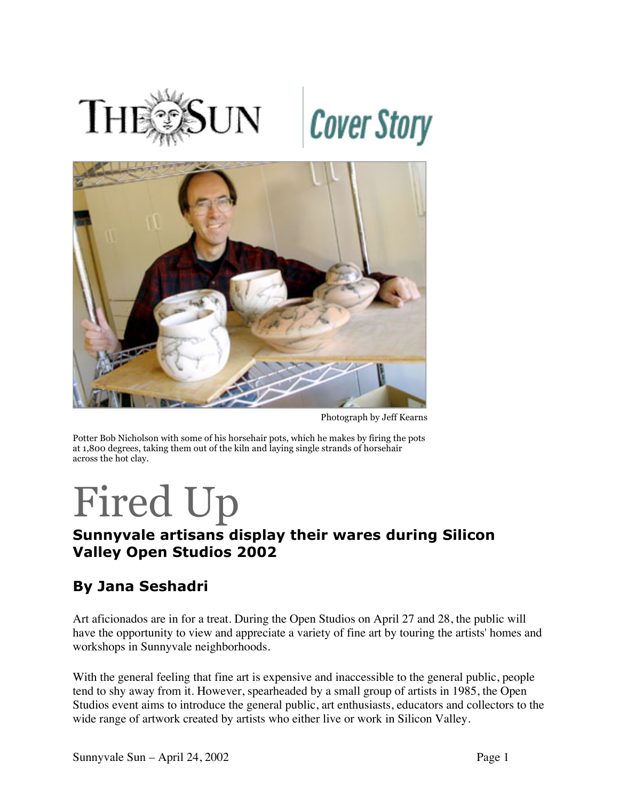



Photograph by Jeff Kearns

Potter Bob Nicholson with some of his horsehair pots, which he makes by firing the pots at 1,800 degrees, taking them out of the kiln and laying single strands of horsehair across the hot clay.

## Fired Up

## **Sunnyvale artisans display their wares during Silicon Valley Open Studios 2002**

## **By Jana Seshadri**

Art aficionados are in for a treat. During the Open Studios on April 27 and 28, the public will have the opportunity to view and appreciate a variety of fine art by touring the artists' homes and workshops in Sunnyvale neighborhoods.

With the general feeling that fine art is expensive and inaccessible to the general public, people tend to shy away from it. However, spearheaded by a small group of artists in 1985, the Open Studios event aims to introduce the general public, art enthusiasts, educators and collectors to the wide range of artwork created by artists who either live or work in Silicon Valley.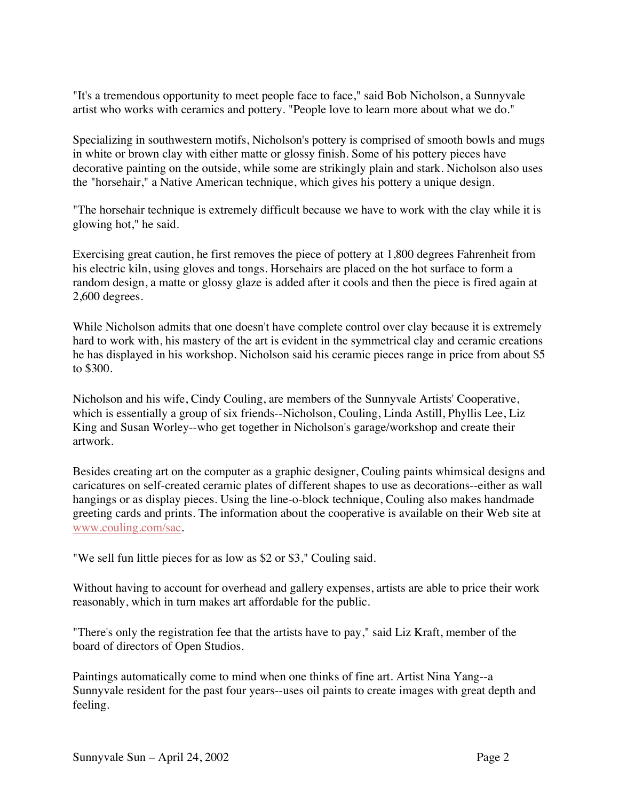"It's a tremendous opportunity to meet people face to face," said Bob Nicholson, a Sunnyvale artist who works with ceramics and pottery. "People love to learn more about what we do."

Specializing in southwestern motifs, Nicholson's pottery is comprised of smooth bowls and mugs in white or brown clay with either matte or glossy finish. Some of his pottery pieces have decorative painting on the outside, while some are strikingly plain and stark. Nicholson also uses the "horsehair," a Native American technique, which gives his pottery a unique design.

"The horsehair technique is extremely difficult because we have to work with the clay while it is glowing hot," he said.

Exercising great caution, he first removes the piece of pottery at 1,800 degrees Fahrenheit from his electric kiln, using gloves and tongs. Horsehairs are placed on the hot surface to form a random design, a matte or glossy glaze is added after it cools and then the piece is fired again at 2,600 degrees.

While Nicholson admits that one doesn't have complete control over clay because it is extremely hard to work with, his mastery of the art is evident in the symmetrical clay and ceramic creations he has displayed in his workshop. Nicholson said his ceramic pieces range in price from about \$5 to \$300.

Nicholson and his wife, Cindy Couling, are members of the Sunnyvale Artists' Cooperative, which is essentially a group of six friends--Nicholson, Couling, Linda Astill, Phyllis Lee, Liz King and Susan Worley--who get together in Nicholson's garage/workshop and create their artwork.

Besides creating art on the computer as a graphic designer, Couling paints whimsical designs and caricatures on self-created ceramic plates of different shapes to use as decorations--either as wall hangings or as display pieces. Using the line-o-block technique, Couling also makes handmade greeting cards and prints. The information about the cooperative is available on their Web site at www.couling.com/sac.

"We sell fun little pieces for as low as \$2 or \$3," Couling said.

Without having to account for overhead and gallery expenses, artists are able to price their work reasonably, which in turn makes art affordable for the public.

"There's only the registration fee that the artists have to pay," said Liz Kraft, member of the board of directors of Open Studios.

Paintings automatically come to mind when one thinks of fine art. Artist Nina Yang--a Sunnyvale resident for the past four years--uses oil paints to create images with great depth and feeling.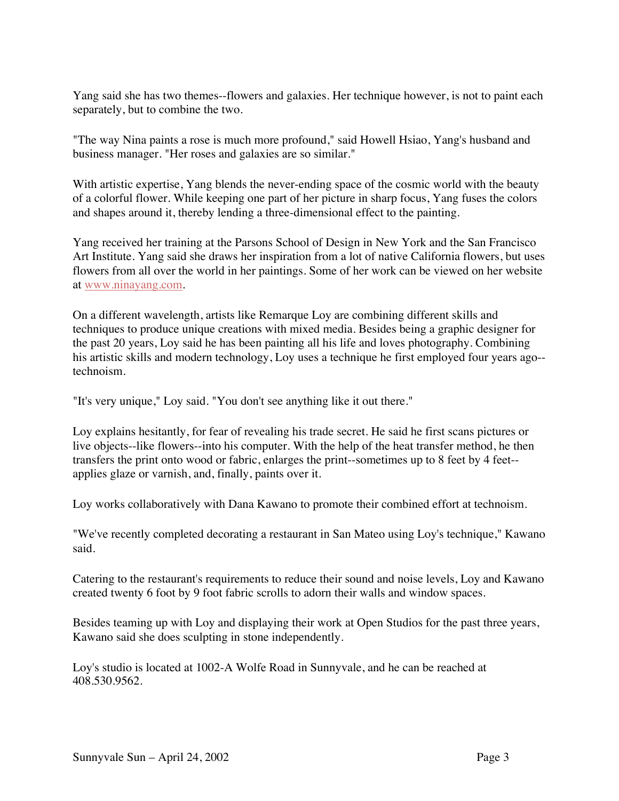Yang said she has two themes--flowers and galaxies. Her technique however, is not to paint each separately, but to combine the two.

"The way Nina paints a rose is much more profound," said Howell Hsiao, Yang's husband and business manager. "Her roses and galaxies are so similar."

With artistic expertise, Yang blends the never-ending space of the cosmic world with the beauty of a colorful flower. While keeping one part of her picture in sharp focus, Yang fuses the colors and shapes around it, thereby lending a three-dimensional effect to the painting.

Yang received her training at the Parsons School of Design in New York and the San Francisco Art Institute. Yang said she draws her inspiration from a lot of native California flowers, but uses flowers from all over the world in her paintings. Some of her work can be viewed on her website at www.ninayang.com.

On a different wavelength, artists like Remarque Loy are combining different skills and techniques to produce unique creations with mixed media. Besides being a graphic designer for the past 20 years, Loy said he has been painting all his life and loves photography. Combining his artistic skills and modern technology, Loy uses a technique he first employed four years ago- technoism.

"It's very unique," Loy said. "You don't see anything like it out there."

Loy explains hesitantly, for fear of revealing his trade secret. He said he first scans pictures or live objects--like flowers--into his computer. With the help of the heat transfer method, he then transfers the print onto wood or fabric, enlarges the print--sometimes up to 8 feet by 4 feet- applies glaze or varnish, and, finally, paints over it.

Loy works collaboratively with Dana Kawano to promote their combined effort at technoism.

"We've recently completed decorating a restaurant in San Mateo using Loy's technique," Kawano said.

Catering to the restaurant's requirements to reduce their sound and noise levels, Loy and Kawano created twenty 6 foot by 9 foot fabric scrolls to adorn their walls and window spaces.

Besides teaming up with Loy and displaying their work at Open Studios for the past three years, Kawano said she does sculpting in stone independently.

Loy's studio is located at 1002-A Wolfe Road in Sunnyvale, and he can be reached at 408.530.9562.